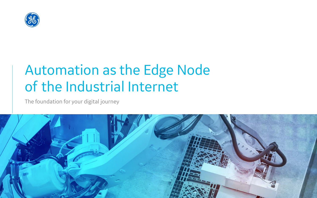

# Automation as the Edge Node of the Industrial Internet

The foundation for your digital journey

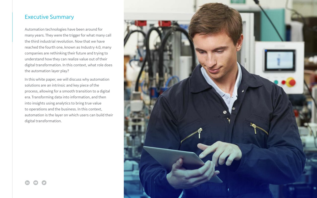#### Executive Summary

Automation technologies have been around for many years. They were the trigger for what many call the third industrial revolution. Now that we have reached the fourth one, known as Industry 4.0, many companies are rethinking their future and trying to understand how they can realize value out of their digital transformation. In this context, what role does the automation layer play?

In this white paper, we will discuss why automation solutions are an intrinsic and key piece of the process, allowing for a smooth transition to a digital era. Transforming data into information, and then into insights using analytics to bring true value to operations and the business. In this context, automation is the layer on which users can build their digital transformation.

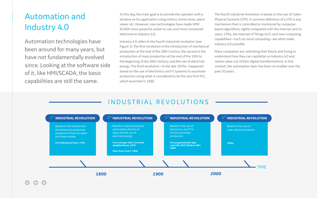To this day, the main goal is to provide the operator with a window on his application using mimics, trend views, alarm views, etc. However, new technologies have made HMI/ SCADA more powerful, easier to use, and more connected. Welcome to Industry 4.0.

Industry 4.0 refers to the fourth industrial revolution (see Figure 1). The first revolution is the introduction of mechanical production at the end of the 18th Century, the second is the introduction of mass production at the end of the 19th to the beginning of the 20th Century, and the use of electrical energy. The third revolution—in the late 1970s—happened based on the use of electronics and IT systems to automate production using what is considered to be the very first PLC, which launched in 1969.

# Automation and Industry 4.0

Automation technologies have been around for many years, but have not fundamentally evolved since. Looking at the software side of it, like HMI/SCADA, the basic capabilities are still the same.

The fourth industrial revolution is based on the use of Cyber-Physical Systems (CPS). A common definition of a CPS is any mechanism that is controlled or monitored by computerbased algorithms, tightly integrated with the Internet and its users. CPSs, the Internet of Things (IoT), and new computing capabilities—such as cloud computing—are what make Industry 4.0 possible.

### INDUSTRIAL REVOLUTIONS

Many companies are rethinking their future and trying to understand how they can capitalize on Industry 4.0 and realize value out of their digital transformations. In this context, the automation layer has been an enabler over the past 50 years.

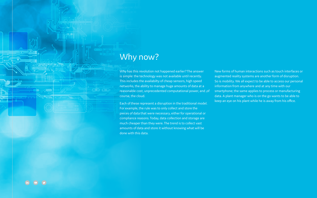Why has this revolution not happened earlier? The answer is simple: the technology was not available until recently. This includes the availabilty of cheap sensors, high speed networks, the ability to manage huge amounts of data at a reasonable cost, unprecedented computational power, and ,of course, the cloud.

Each of these represent a disruption in the traditional model. For example, the rule was to only collect and store the pieces of data that were necessary, either for operational or compliance reasons. Today, data collection and storage are much cheaper than they were. The trend is to collect vast amounts of data and store it without knowing what will be done with this data.

 $\left( \blacksquare \right)$ 

**Marine** 

<u>. Anaanssunan meaan</u>

New forms of human interactions such as touch interfaces or augmented reality systems are another form of disruption. So is mobility. We all expect to be able to access our personal information from anywhere and at any time with our smartphone; the same applies to process or manufacturing data. A plant manager who is on the go wants to be able to keep an eye on his plant while he is away from his office.

## Why now?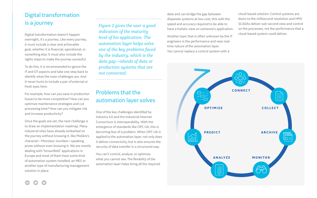#### Digital transformation is a journey

Digital transformation doesn't happen overnight, it's a journey. Like every journey, it must include a clear and achievable goal, whether it is financial, operational, or something else. It must also include the rights steps to make the journey sucessful.

To do this, it is recommended to ignore the IT and OT aspects and take one step back to identify what the main challenges are. And it never hurts to include a pair of external or fresh eyes here.

For example, how can you save in production losses to be more competitive? How can you optimize maintenance strategies and cut processing time? How can you mitigate risk and increase productivity?

Once the goals are set, the next challenge is to draw an implementation roadmap. Many industrial sites have already embarked on the journey without knowing it, like Molière's character—Monsieur Jourdain—speaking prose without even knowing it. We are mostly dealing with "brownfield" applications in Europe and most of them have some kind of automation system installed, an MES or another type of manufacturing management solution in place.

#### Problems that the automation layer solves

One of the key challenges identified by Industry 4.0 and the Industrial Internet Consortium is interoperability. With the emergence of standards like OPC UA, this is becoming less of a problem. When OPC UA is applied to the automation layer, not only does it deliver connectivity, but is also ensures the security of data transfer in a structured way.

You can't control, analyze, or optimize what you cannot see. The flexibility of the automation layer helps bring all the required

*Figure 2 gives the user a good indication of the maturity level of his application. The automation layer helps solve one of the key problems faced by the industry, which is the data gap—islands of data or production systems that are not connected.*

data and can bridge the gap between disparate systems at low cost, this with the speed and accuracy required to be able to have a holistic view on someone's application.

Another topic that is often unknown by the IT engineers is the performance and near realtime nature of the automation layer. You cannot replace a control system with a





cloud-based solution. Control systems are down to the millisecond resolution and HMI/ SCADAs deliver sub-second view and control on the processes, not the performance that a cloud-based system could deliver.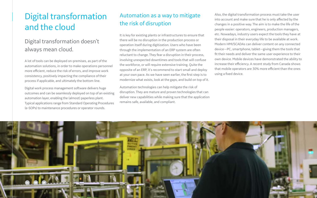#### Automation as a way to mitigate the risk of disruption

It is key for existing plants or infrastructures to ensure that there will be no disruption in the production process or operation itself during digitization. Users who have been through the implementation of an ERP system are often reluctant to change. They fear a disruption in their process, involving unexpected downtimes and tools that will confuse the workforce, or will require extensive training. Quite the opposite of an ERP, it's recommend to start small and deploy at your own pace. As we have seen earlier, the first step is to modernize what exists, look at the gaps, and build on top of it.

Automation technologies can help mitigate the risk of disruption. They are mature and proven technologies that can deliver new capabilities while making sure that the application remains safe, available, and compliant.



# Digital transformation and the cloud

#### Digital transformation doesn't always mean cloud.

A lot of tools can be deployed on-premises, as part of the automation solutions, in order to make operations personnel more efficient, reduce the risk of errors, and improve work consistency, positively impacting the compliance of their process if applicable, and ultimately the bottom line.

Digital work process management software delivers huge outcomes and can be seamlessly deployed on top of an existing automation layer, enabling the (almost) paperless plant. Typical applications range from Standard Operating Procedures (e-SOPs) to maintenance procedures or operator rounds.

Also, the digital transformation process must take the user into account and make sure that he is only affected by the changes in a positive way. The aim is to make the life of the people easier: operators, engineers, production managers, etc. Nowadays, industry users expect the tools they have at their disposal in their everyday life to be available at work. Modern HMI/SCADAs can deliver content on any connected device—PC, smartphone, tablet—giving them the tools that fit their needs and deliver the same user experience to their own device. Mobile devices have demonstrated the ability to increase their efficiency. A recent study from Canada shows that mobile operators are 30% more efficient than the ones using a fixed device.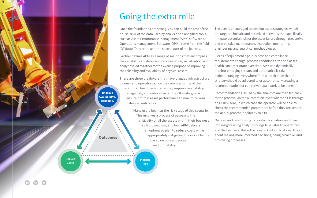# Going the extra mile

Once the foundations are strong, you can build the rest of the house. 85% of the data used by analysis and analytical tools, such as Asset Performance Management (APM) software or Operations Management Software (OPM), come from the field (OT data). They represent the second part of the journey.

Gartner defines APM as a range of solutions that encompass the capabilities of data capture, integration, visualization, and analytics tied together for the explicit purpose of improving the reliability and availability of physical assets.

There are three big drivers that have plagued infrastructure owners and operators since the commissioning of their operations: How to simultaneously improve availability, manage risk, and reduce costs. The ultimate goal is to ensure optimal asset performance to maximize your desired outcomes.

> Many users begin at the risk stage of this scenario. This involves a process of assessing the criticality of all the assets within their business as high, medium, and low. APM delivers an optimized plan to reduce costs while appropriately mitigating the risk of failure based on consequences and probability.

The user is encouraged to develop asset strategies, which are targeted holistic and optimized activities that specifically mitigate potential risk for the asset failure through preventive and predictive maintenance, inspection, monitoring, engineering, and analytical methodologies.

Pieces of equipment age, business and compliance requirements change, process conditions alter, and asset health can deteriorate over time. APM can dynamically monitor emerging threats and automatically take actions—ranging everywhere from a notification that the strategy should be adjusted to or automatically creating a recommendation for corrective repair work to be done.

Recommendations issued by the analytics are then fed back to the process, via the automation layer; whether it is through an HMI/SCADA, in which case the operator will be able to check the recommended parameters before they are sent to the actual process, or directly to a PLC.

Once again, transforming data into information, and then into insights using analytics brings true value to operations and the business. This is the core of APM applications. It is all about making more informed decisions, being proactive, and optimizing processes.

**Outcomes**

**Improve Availability & Reliability**

**Reduce Costs**

**Manage Risk**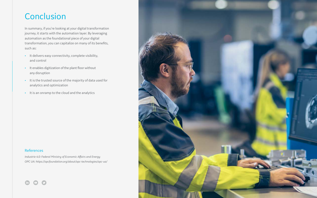# Conclusion

In summary, if you're looking at your digital transformation journey, it starts with the automation layer. By leveraging automation as the foundational piece of your digital transformation, you can capitalize on many of its benefits, such as:

- It delivers easy connectivity, complete visibility, and control
- It enables digitization of the plant floor without any disruption
- It is the trusted source of the majority of data used for analytics and optimization
- It is an onramp to the cloud and the analytics

#### References

*Industrie 4.0: Federal Ministry of Economic Affairs and Energy OPC UA: https://opcfoundation.org/about/opc-technologies/opc-ua/*